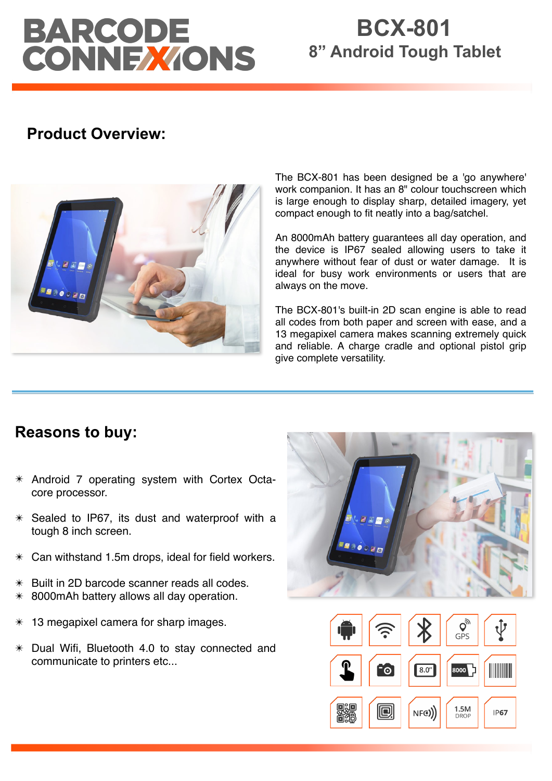# BARCODE<br>CONNEXIONS

# **BCX-801 8" Android Tough Tablet**

# **Product Overview:**



The BCX-801 has been designed be a 'go anywhere' work companion. It has an 8" colour touchscreen which is large enough to display sharp, detailed imagery, yet compact enough to fit neatly into a bag/satchel.

An 8000mAh battery guarantees all day operation, and the device is IP67 sealed allowing users to take it anywhere without fear of dust or water damage. It is ideal for busy work environments or users that are always on the move.

The BCX-801's built-in 2D scan engine is able to read all codes from both paper and screen with ease, and a 13 megapixel camera makes scanning extremely quick and reliable. A charge cradle and optional pistol grip give complete versatility.

## **Reasons to buy:**

- ✴ Android 7 operating system with Cortex Octacore processor.
- $*$  Sealed to IP67, its dust and waterproof with a tough 8 inch screen.
- $*$  Can withstand 1.5m drops, ideal for field workers.
- $*$  Built in 2D barcode scanner reads all codes.
- $*$  8000 mAh battery allows all day operation.
- 13 megapixel camera for sharp images.
- ✴ Dual Wifi, Bluetooth 4.0 to stay connected and communicate to printers etc...